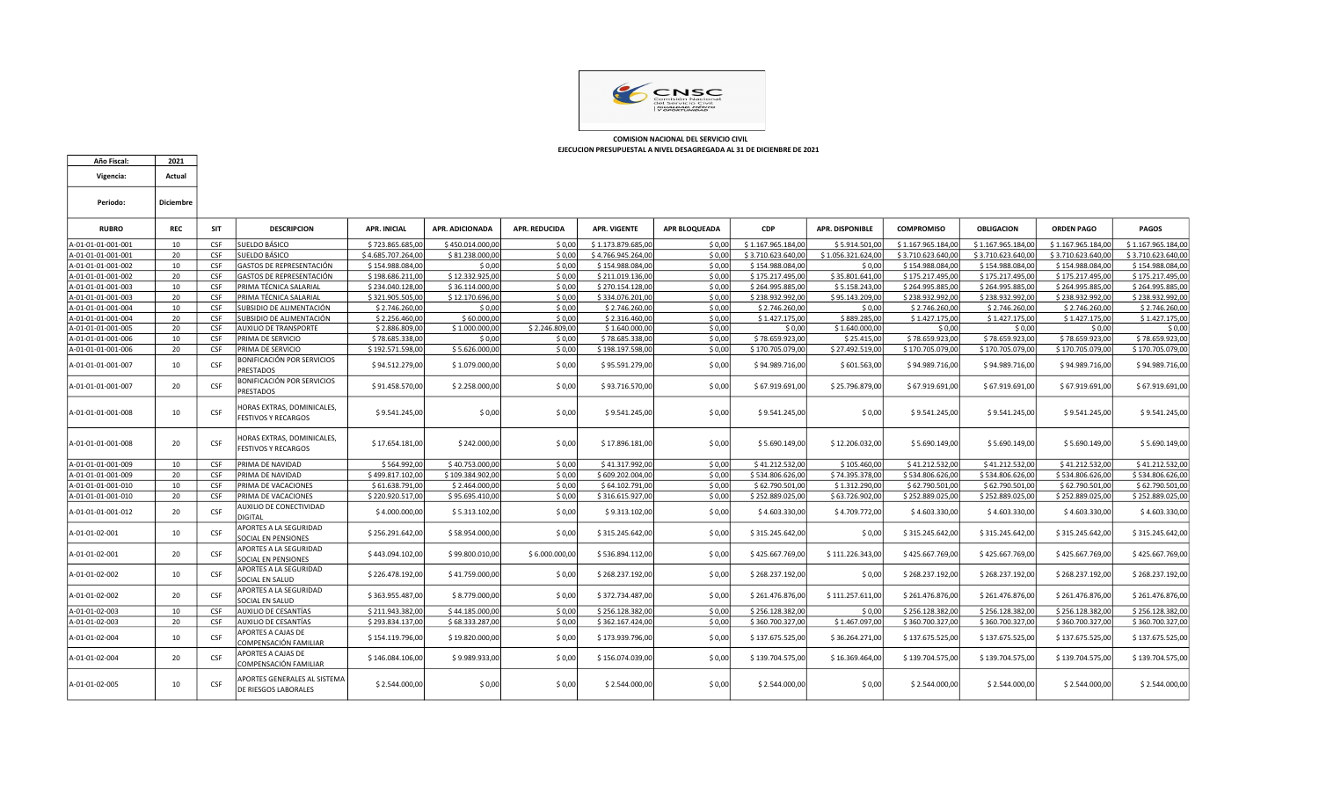

Año Fiscal: 2021

 COMISION NACIONAL DEL SERVICIO CIVIL EJECUCION PRESUPUESTAL A NIVEL DESAGREGADA AL 31 DE DICIENBRE DE 2021

| Vigencia:          | Actual    |            |                                                          |                     |                  |                      |                     |                      |                    |                        |                    |                    |                    |                    |
|--------------------|-----------|------------|----------------------------------------------------------|---------------------|------------------|----------------------|---------------------|----------------------|--------------------|------------------------|--------------------|--------------------|--------------------|--------------------|
| Periodo:           | Diciembre |            |                                                          |                     |                  |                      |                     |                      |                    |                        |                    |                    |                    |                    |
| <b>RUBRO</b>       | REC       | <b>SIT</b> | <b>DESCRIPCION</b>                                       | <b>APR. INICIAL</b> | APR. ADICIONADA  | <b>APR. REDUCIDA</b> | <b>APR. VIGENTE</b> | <b>APR BLOQUEADA</b> | <b>CDP</b>         | <b>APR. DISPONIBLE</b> | <b>COMPROMISO</b>  | <b>OBLIGACION</b>  | <b>ORDEN PAGO</b>  | <b>PAGOS</b>       |
| A-01-01-01-001-001 | 10        | <b>CSF</b> | SUELDO BÁSICO                                            | \$723.865.685.00    | \$450.014.000,00 | \$0.00               | \$1.173.879.685,00  | S 0.00               | \$1.167.965.184.00 | \$5.914.501.00         | \$1.167.965.184,00 | \$1.167.965.184.00 | \$1.167.965.184,00 | \$1.167.965.184.00 |
| A-01-01-01-001-001 | 20        | CSF        | SUELDO BÁSICO                                            | \$4.685.707.264,00  | \$81.238.000,00  | \$0,00               | \$4.766.945.264,00  | \$0,00               | \$3.710.623.640,00 | \$1.056.321.624,00     | \$3.710.623.640,00 | \$3.710.623.640,00 | \$3.710.623.640,00 | \$3.710.623.640,00 |
| A-01-01-01-001-002 | 10        | CSF        | GASTOS DE REPRESENTACIÓN                                 | \$154.988.084,00    | \$0,00           | \$0,00               | \$154.988.084,00    | \$0,00               | \$154.988.084,00   | \$0,00                 | \$154.988.084,00   | \$154.988.084,00   | \$154.988.084,00   | \$154.988.084,00   |
| A-01-01-01-001-002 | 20        | CSF        | GASTOS DE REPRESENTACIÓN                                 | \$198.686.211,00    | \$12.332.925,00  | \$0,00               | \$211.019.136,00    | \$0,00               | \$175.217.495,00   | \$35.801.641,00        | \$175.217.495,00   | \$175.217.495,00   | \$175.217.495,00   | \$175.217.495,00   |
| A-01-01-01-001-003 | 10        | CSF        | PRIMA TÉCNICA SALARIAL                                   | \$234.040.128.00    | \$36.114.000,00  | \$0.00               | \$270.154.128,00    | \$0.00               | \$264.995.885.00   | \$5.158.243.00         | \$264.995.885.00   | \$264.995.885.00   | \$264.995.885,00   | \$264.995.885,00   |
| A-01-01-01-001-003 | -20       | CSF        | PRIMA TÉCNICA SALARIAL                                   | \$321.905.505,00    | \$12.170.696,00  | \$0,00               | \$334.076.201,00    | \$0,00               | \$238.932.992,00   | \$95.143.209,00        | \$238.932.992,00   | \$238.932.992,00   | \$238.932.992,00   | \$238.932.992,00   |
| A-01-01-01-001-004 | 10        | CSF        | SUBSIDIO DE ALIMENTACIÓN                                 | \$2.746.260,00      | \$0,00           | \$0,00               | \$2.746.260,00      | \$0,00               | \$2.746.260,00     | \$0,00                 | \$2.746.260,00     | \$2.746.260,00     | \$2.746.260,00     | \$2.746.260,00     |
| A-01-01-01-001-004 | 20        | CSF        | SUBSIDIO DE ALIMENTACIÓN                                 | \$2.256.460,00      | \$60.000,00      | \$0,00               | \$2.316.460,00      | \$0,00               | \$1.427.175,00     | \$889.285,00           | \$1.427.175,00     | \$1.427.175,00     | \$1.427.175,00     | \$1.427.175,00     |
| A-01-01-01-001-005 | 20        | CSF        | <b>AUXILIO DE TRANSPORTE</b>                             | \$2.886.809,00      | \$1.000.000,00   | \$2.246.809,00       | \$1.640.000,00      | \$0,00               | \$0,00             | \$1.640.000,00         | \$0,00             | \$0,00             | \$0,00             | \$0,00             |
| A-01-01-01-001-006 | 10        | CSF        | PRIMA DE SERVICIO                                        | \$78.685.338,00     | \$0,00           | \$0,00               | \$78.685.338,00     | \$0,00               | \$78.659.923,00    | \$25.415,00            | \$78.659.923,00    | \$78.659.923,00    | \$78.659.923,00    | \$78.659.923,00    |
| A-01-01-01-001-006 | 20        | <b>CSF</b> | PRIMA DE SERVICIO                                        | \$192.571.598,00    | \$5.626.000,00   | \$0,00               | \$198.197.598,00    | \$0,00               | \$170.705.079,00   | \$27.492.519,00        | \$170.705.079,00   | \$170.705.079,00   | \$170.705.079,00   | \$170.705.079,00   |
| A-01-01-01-001-007 | 10        | CSF        | BONIFICACIÓN POR SERVICIOS<br><b>PRESTADOS</b>           | \$94.512.279,00     | \$1.079.000,00   | \$0,00               | \$95.591.279,00     | \$0,00               | \$94.989.716,00    | \$601.563,00           | \$94.989.716,00    | \$94.989.716,00    | \$94.989.716,00    | \$94.989.716,00    |
| A-01-01-01-001-007 | 20        | CSF        | BONIFICACIÓN POR SERVICIOS<br><b>PRESTADOS</b>           | \$91.458.570,00     | \$2.258.000,00   | \$0,00               | \$93.716.570,00     | \$0,00               | \$67.919.691,00    | \$25.796.879,00        | \$67.919.691,00    | \$67.919.691,00    | \$67.919.691,00    | \$67.919.691,00    |
| A-01-01-01-001-008 | 10        | CSF        | HORAS EXTRAS, DOMINICALES,<br><b>FESTIVOS Y RECARGOS</b> | \$9.541.245,00      | \$0,00           | \$0,00               | \$9.541.245,00      | \$0,00               | \$9.541.245,00     | \$0,00                 | \$9.541.245,00     | \$9.541.245,00     | \$9.541.245,00     | \$9.541.245,00     |
| A-01-01-01-001-008 | 20        | CSF        | HORAS EXTRAS, DOMINICALES,<br><b>FESTIVOS Y RECARGOS</b> | \$17.654.181,00     | \$242.000,00     | \$0,00               | \$17.896.181,00     | \$0,00               | \$5.690.149,00     | \$12.206.032,00        | \$5.690.149,00     | \$5.690.149,00     | \$5.690.149,00     | \$5.690.149,00     |
| A-01-01-01-001-009 | 10        | CSF        | PRIMA DE NAVIDAD                                         | \$564.992,00        | \$40.753.000,00  | \$0,00               | \$41.317.992,00     | \$0,00               | \$41.212.532,00    | \$105.460,00           | \$41.212.532,00    | \$41.212.532,00    | \$41.212.532,00    | \$41.212.532,00    |
| A-01-01-01-001-009 | 20        | CSF        | PRIMA DE NAVIDAD                                         | \$499.817.102,00    | \$109.384.902,00 | \$0,00               | \$609.202.004,00    | \$0,00               | \$534.806.626,00   | \$74.395.378,00        | \$534.806.626,00   | \$534.806.626,00   | \$534.806.626,00   | \$534.806.626,00   |
| A-01-01-01-001-010 | 10        | <b>CSF</b> | PRIMA DE VACACIONES                                      | \$61.638.791,00     | \$2.464.000,00   | \$0,00               | \$64.102.791,00     | \$0,00               | \$62.790.501,00    | \$1.312.290,00         | \$62.790.501,00    | \$62.790.501,00    | \$62.790.501,00    | \$62.790.501,00    |
| A-01-01-01-001-010 | 20        | <b>CSF</b> | PRIMA DE VACACIONES                                      | \$220.920.517,00    | \$95.695.410,00  | \$0,00               | \$316.615.927,00    | \$0,00               | \$252.889.025,00   | \$63.726.902,00        | \$252.889.025,00   | \$252.889.025,00   | \$252.889.025,00   | \$252.889.025,00   |
| A-01-01-01-001-012 | 20        | CSF        | AUXILIO DE CONECTIVIDAD<br><b>DIGITAL</b>                | \$4.000.000,00      | \$5.313.102,00   | \$0,00               | \$9.313.102,00      | \$0,00               | \$4.603.330,00     | \$4.709.772,00         | \$4.603.330,00     | \$4.603.330,00     | \$4.603.330,00     | \$4.603.330,00     |
| A-01-01-02-001     | 10        | CSF        | APORTES A LA SEGURIDAD<br>SOCIAL EN PENSIONES            | \$256.291.642,00    | \$58.954.000,00  | \$0,00               | \$315.245.642,00    | \$0,00               | \$315.245.642,00   | \$0,00                 | \$315.245.642,00   | \$315.245.642,00   | \$315.245.642,00   | \$315.245.642,00   |
| A-01-01-02-001     | 20        | CSF        | APORTES A LA SEGURIDAD<br>SOCIAL EN PENSIONES            | \$443.094.102,00    | \$99.800.010,00  | \$6.000.000,00       | \$536.894.112,00    | \$0,00               | \$425.667.769,00   | \$111.226.343,00       | \$425.667.769,00   | \$425.667.769,00   | \$425.667.769,00   | \$425.667.769,00   |
| A-01-01-02-002     | 10        | CSF        | APORTES A LA SEGURIDAD<br>SOCIAL EN SALUD                | \$226.478.192,00    | \$41.759.000,00  | \$0,00               | \$268.237.192,00    | \$0,00               | \$268.237.192,00   | \$0,00                 | \$268.237.192,00   | \$268.237.192,00   | \$268.237.192,00   | \$268.237.192,00   |
| A-01-01-02-002     | 20        | CSF        | APORTES A LA SEGURIDAD<br>SOCIAL EN SALUD                | \$363.955.487,00    | \$8.779.000,00   | \$0,00               | \$372.734.487,00    | \$0,00               | \$261.476.876,00   | \$111.257.611,00       | \$261.476.876,00   | \$261.476.876,00   | \$261.476.876,00   | \$261.476.876,00   |
| A-01-01-02-003     | 10        | CSF        | AUXILIO DE CESANTÍAS                                     | \$211.943.382,00    | \$44.185.000,00  | \$0,00               | \$256.128.382,00    | \$0,00               | \$256.128.382,00   | \$0,00                 | \$256.128.382,00   | \$256.128.382,00   | \$256.128.382,00   | \$256.128.382,00   |
| A-01-01-02-003     | 20        | CSF        | AUXILIO DE CESANTÍAS                                     | \$293.834.137,00    | \$68.333.287,00  | \$0,00               | \$362.167.424,00    | \$0,00               | \$360.700.327,00   | \$1.467.097,00         | \$360.700.327,00   | \$360.700.327,00   | \$360.700.327,00   | \$360.700.327,00   |
| A-01-01-02-004     | 10        | <b>CSF</b> | APORTES A CAJAS DE<br>COMPENSACIÓN FAMILIAR              | \$154.119.796,00    | \$19.820.000,00  | \$0,00               | \$173.939.796,00    | \$0,00               | \$137.675.525,00   | \$36.264.271,00        | \$137.675.525,00   | \$137.675.525,00   | \$137.675.525,00   | \$137.675.525,00   |
| A-01-01-02-004     | 20        | <b>CSF</b> | APORTES A CAJAS DE<br>COMPENSACIÓN FAMILIAR              | \$146.084.106,00    | \$9.989.933,00   | \$0,00               | \$156.074.039,00    | \$0,00               | \$139.704.575,00   | \$16.369.464,00        | \$139.704.575,00   | \$139.704.575,00   | \$139.704.575,00   | \$139.704.575,00   |
| A-01-01-02-005     | 10        | CSF        | APORTES GENERALES AL SISTEMA<br>DE RIESGOS LABORALES     | \$2.544.000,00      | \$0,00           | \$0,00               | \$2.544.000,00      | \$0,00               | \$2.544.000,00     | \$0,00                 | \$2.544.000,00     | \$2.544.000,00     | \$2.544.000,00     | \$2.544.000,00     |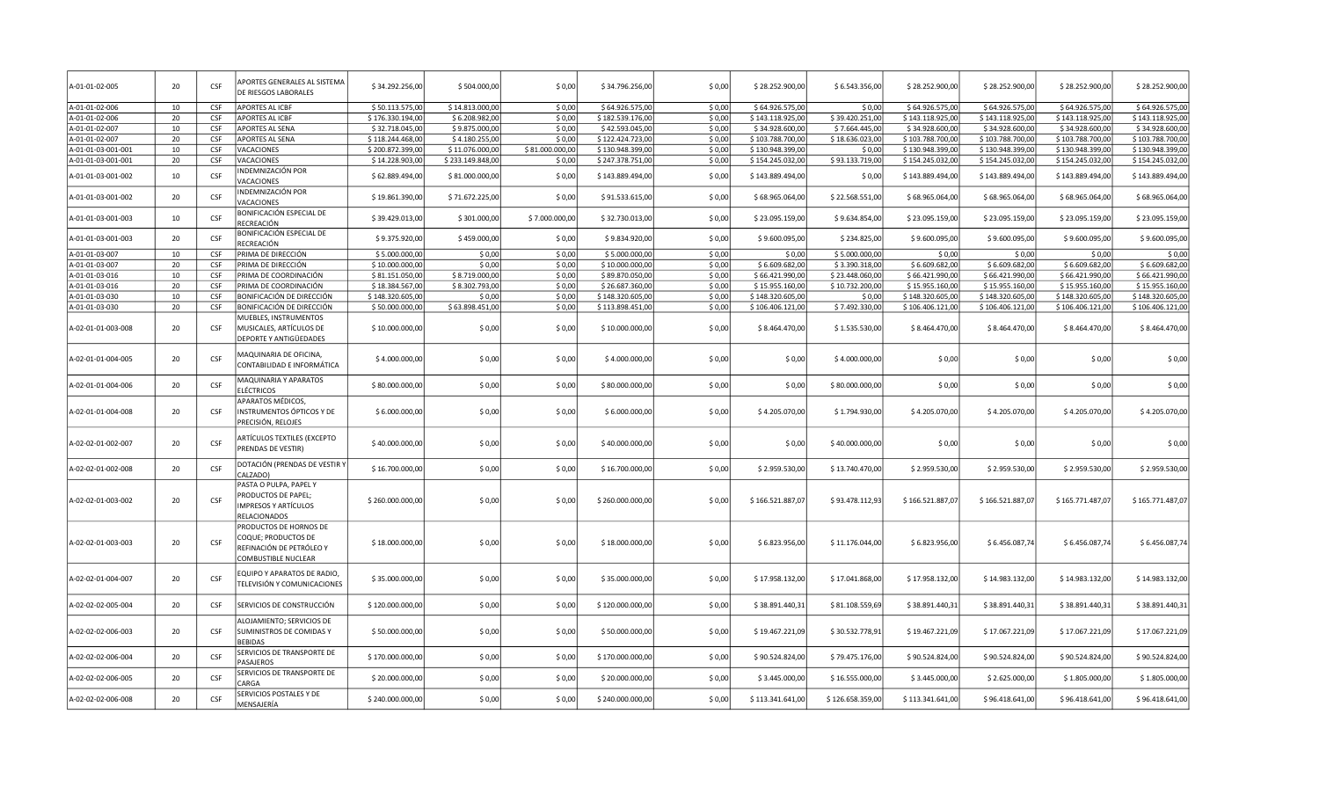| A-01-01-02-005     | 20 | CSF        | APORTES GENERALES AL SISTEMA<br>DE RIESGOS LABORALES                                             | \$34.292.256,00  | \$504.000,00     | \$0,00          | \$34.796.256,00  | \$0,00 | \$28.252.900,00  | \$6.543.356,00   | \$28.252.900,00  | \$28.252.900,00  | \$28.252.900,00  | \$28.252.900,00  |
|--------------------|----|------------|--------------------------------------------------------------------------------------------------|------------------|------------------|-----------------|------------------|--------|------------------|------------------|------------------|------------------|------------------|------------------|
| A-01-01-02-006     | 10 | CSE        | <b>APORTES AL ICBF</b>                                                                           | \$50.113.575,00  | \$14.813.000,00  | \$0,00          | \$64.926.575,00  | \$0,00 | \$64.926.575,00  | \$0,00           | \$64.926.575,00  | \$64.926.575,00  | \$64.926.575,00  | \$64.926.575,00  |
| A-01-01-02-006     | 20 | <b>CSF</b> | <b>APORTES AL ICBF</b>                                                                           | \$176.330.194,00 | \$6.208.982,00   | \$0.00          | \$182.539.176,00 | \$0.00 | \$143.118.925,00 | \$39.420.251,00  | \$143.118.925,00 | \$143.118.925,00 | \$143.118.925,00 | \$143.118.925,00 |
| A-01-01-02-007     | 10 | CSF        | APORTES AL SENA                                                                                  | \$32.718.045,00  | \$9.875.000,00   | \$0,00          | \$42.593.045,00  | \$0,00 | \$34.928.600,00  | \$7.664.445,00   | \$34.928.600,00  | \$34.928.600,00  | \$34.928.600,00  | \$34.928.600,00  |
| A-01-01-02-007     | 20 | CSF        | APORTES AL SENA                                                                                  | \$118.244.468,00 | \$4.180.255,00   | \$0,00          | \$122.424.723,00 | \$0,00 | \$103.788.700,00 | \$18.636.023,00  | \$103.788.700,00 | \$103.788.700,00 | \$103.788.700,00 | \$103.788.700,00 |
| A-01-01-03-001-001 | 10 | CSF        | VACACIONES                                                                                       | \$200.872.399,00 | \$11.076.000,00  | \$81.000.000,00 | \$130.948.399,00 | \$0,00 | \$130.948.399,00 | \$0,00           | \$130.948.399,00 | \$130.948.399,0  | \$130.948.399,00 | \$130.948.399,00 |
| A-01-01-03-001-001 | 20 | CSF        | VACACIONES                                                                                       | \$14.228.903,00  | \$233.149.848,00 | \$0,00          | \$247.378.751,00 | \$0,00 | \$154.245.032,00 | \$93.133.719,00  | \$154.245.032,00 | \$154.245.032,00 | \$154.245.032,00 | \$154.245.032,00 |
| A-01-01-03-001-002 | 10 | CSF        | INDEMNIZACIÓN POR<br>VACACIONES                                                                  | \$62.889.494,00  | \$81.000.000,00  | \$0,00          | \$143.889.494,00 | \$0,00 | \$143.889.494,00 | \$0,00           | \$143.889.494,00 | \$143.889.494,00 | \$143.889.494,00 | \$143.889.494,00 |
| A-01-01-03-001-002 | 20 | CSF        | INDEMNIZACIÓN POR<br>VACACIONES                                                                  | \$19.861.390,00  | \$71.672.225,00  | \$0,00          | \$91.533.615,00  | \$0,00 | \$68.965.064,00  | \$22.568.551,00  | \$68.965.064,00  | \$68.965.064,00  | \$68.965.064,00  | \$68.965.064,00  |
| A-01-01-03-001-003 | 10 | CSF        | BONIFICACIÓN ESPECIAL DE<br>RECREACIÓN                                                           | \$39.429.013,00  | \$301.000,00     | \$7.000.000,00  | \$32.730.013,00  | \$0,00 | \$23.095.159,00  | \$9.634.854,00   | \$23.095.159,00  | \$23.095.159,00  | \$23.095.159,00  | \$23.095.159,00  |
| A-01-01-03-001-003 | 20 | CSF        | BONIFICACIÓN ESPECIAL DE<br>RECREACIÓN                                                           | \$9.375.920,00   | \$459.000,00     | \$0,00          | \$9.834.920,00   | \$0,00 | \$9.600.095,00   | \$234.825,00     | \$9.600.095,00   | \$9.600.095,00   | \$9.600.095,00   | \$9.600.095,00   |
| A-01-01-03-007     | 10 | CSF        | PRIMA DE DIRECCIÓN                                                                               | \$5.000.000,00   | \$0,00           | \$0,00          | \$5.000.000,00   | \$0,00 | \$0,00           | \$5.000.000,00   | \$0,00           | \$0,00           | \$0,00           | \$0,00           |
| A-01-01-03-007     | 20 | CSF        | PRIMA DE DIRECCIÓN                                                                               | \$10.000.000,00  | \$0,00           | \$0,00          | \$10.000.000,00  | \$0,00 | \$6.609.682,00   | \$3.390.318,00   | \$6.609.682,00   | \$6.609.682,00   | \$6.609.682,00   | \$6.609.682,00   |
| A-01-01-03-016     | 10 | CSF        | PRIMA DE COORDINACIÓN                                                                            | \$81.151.050,00  | \$8.719.000,00   | \$0,00          | \$89.870.050,00  | \$0,00 | \$66.421.990,00  | \$23.448.060,00  | \$66.421.990,00  | \$66.421.990,00  | \$66.421.990,00  | \$66.421.990,00  |
| A-01-01-03-016     | 20 | CSF        | PRIMA DE COORDINACIÓN                                                                            | \$18.384.567,00  | \$8.302.793,00   | \$0.00          | \$26.687.360,00  | \$0.00 | \$15.955.160,00  | \$10.732.200,00  | \$15.955.160,00  | \$15.955.160,0   | \$15.955.160,00  | \$15.955.160,00  |
| A-01-01-03-030     | 10 | CSF        | BONIFICACIÓN DE DIRECCIÓN                                                                        | \$148.320.605,00 | \$0,00           | \$0.00          | \$148.320.605,00 | \$0.00 | \$148.320.605,00 | \$0,00           | \$148.320.605,00 | \$148.320.605,00 | \$148.320.605,00 | \$148.320.605,00 |
| A-01-01-03-030     | 20 | <b>CSF</b> | BONIFICACIÓN DE DIRECCIÓN                                                                        | \$50.000.000,00  | \$63.898.451,00  | \$0,00          | \$113.898.451,00 | \$0,00 | \$106.406.121,00 | \$7.492.330,00   | \$106.406.121,00 | \$106.406.121,00 | \$106.406.121,00 | \$106.406.121,00 |
| A-02-01-01-003-008 | 20 | <b>CSF</b> | MUEBLES, INSTRUMENTOS<br>MUSICALES, ARTÍCULOS DE<br>DEPORTE Y ANTIGÜEDADES                       | \$10.000.000,00] | \$0,00           | \$0,00          | \$10.000.000,00  | \$0,00 | \$8.464.470,00   | \$1.535.530,00   | \$8.464.470,00   | \$8.464.470,00   | \$8.464.470,00   | \$8.464.470,00   |
| A-02-01-01-004-005 | 20 | CSF        | MAQUINARIA DE OFICINA,<br>CONTABILIDAD E INFORMÁTICA                                             | \$4.000.000,00   | \$0,00           | \$0,00          | \$4.000.000,00   | \$0,00 | \$0,00           | \$4.000.000,00   | \$0,00           | \$0,00           | \$0,00           | \$0,00           |
| A-02-01-01-004-006 | 20 | CSF        | MAQUINARIA Y APARATOS<br>ELÉCTRICOS                                                              | \$80.000.000,00  | \$0,00           | \$0,00          | \$80.000.000,00  | \$0,00 | \$0,00           | \$80.000.000,00  | \$0,00           | \$0,00           | \$0,00           | \$0,00           |
| A-02-01-01-004-008 | 20 | CSF        | APARATOS MÉDICOS,<br>INSTRUMENTOS ÓPTICOS Y DE<br>PRECISIÓN, RELOJES                             | \$6.000.000,00   | \$0,00           | \$0,00          | \$6.000.000,00   | \$0,00 | \$4.205.070,00   | \$1.794.930,00   | \$4.205.070,00   | \$4.205.070,00   | \$4.205.070,00   | \$4.205.070,00   |
| A-02-02-01-002-007 | 20 | CSF        | ARTÍCULOS TEXTILES (EXCEPTO<br>PRENDAS DE VESTIR)                                                | \$40.000.000,00  | \$0,00           | \$0,00          | \$40.000.000,00  | \$0,00 | \$0,00           | \$40.000.000,00  | \$ 0,00          | \$0,00           | \$0,00           | \$0,00           |
| A-02-02-01-002-008 | 20 | CSF        | DOTACIÓN (PRENDAS DE VESTIR Y<br>CALZADO)                                                        | \$16.700.000,00  | \$0,00           | \$0,00          | \$16.700.000,00  | \$0,00 | \$2.959.530,00   | \$13.740.470,00  | \$2.959.530,00   | \$2.959.530,00   | \$2.959.530,00   | \$2.959.530,00   |
| A-02-02-01-003-002 | 20 | CSF        | PASTA O PULPA, PAPEL Y<br>PRODUCTOS DE PAPEL;<br>IMPRESOS Y ARTÍCULOS<br>RELACIONADOS            | \$260.000.000,00 | \$0,00           | \$0,00          | \$260.000.000,00 | \$0,00 | \$166.521.887,07 | \$93.478.112,93  | \$166.521.887,07 | \$166.521.887,07 | \$165.771.487,07 | \$165.771.487,07 |
| A-02-02-01-003-003 | 20 | CSF        | PRODUCTOS DE HORNOS DE<br>COQUE; PRODUCTOS DE<br>REFINACIÓN DE PETRÓLEO Y<br>COMBUSTIBLE NUCLEAR | \$18.000.000,00  | \$0,00           | \$0,00          | \$18.000.000,00  | \$0,00 | \$6.823.956,00   | \$11.176.044,00  | \$6.823.956,00   | \$6.456.087,74   | \$6.456.087,74   | \$6.456.087,74   |
| A-02-02-01-004-007 | 20 | CSF        | EQUIPO Y APARATOS DE RADIO<br>TELEVISIÓN Y COMUNICACIONES                                        | \$35.000.000,00  | \$0,00           | \$0,00          | \$35.000.000,00  | \$0,00 | \$17.958.132,00  | \$17.041.868,00  | \$17.958.132,00  | \$14.983.132,00  | \$14.983.132,00  | \$14.983.132,00  |
| A-02-02-02-005-004 | 20 | <b>CSF</b> | SERVICIOS DE CONSTRUCCIÓN                                                                        | \$120.000.000,00 | \$0,00           | \$0,00          | \$120.000.000,00 | \$0,00 | \$38.891.440,31  | \$81.108.559,69  | \$38.891.440,31  | \$38.891.440,31  | \$38.891.440,33  | \$38.891.440,31  |
| A-02-02-02-006-003 | 20 | CSF        | ALOJAMIENTO; SERVICIOS DE<br>SUMINISTROS DE COMIDAS Y<br><b>BEBIDAS</b>                          | \$50.000.000,00  | \$0,00           | \$0,00          | \$50.000.000,00  | \$0,00 | \$19.467.221,09  | \$30.532.778,91  | \$19.467.221,09  | \$17.067.221,09  | \$17.067.221,09  | \$17.067.221,09  |
| A-02-02-02-006-004 | 20 | CSF        | SERVICIOS DE TRANSPORTE DE<br>PASAJEROS                                                          | \$170.000.000,00 | \$0,00           | \$0,00          | \$170.000.000,00 | \$0,00 | \$90.524.824,00  | \$79.475.176,00  | \$90.524.824,00  | \$90.524.824,00  | \$90.524.824,00  | \$90.524.824,00  |
| A-02-02-02-006-005 | 20 | CSF        | SERVICIOS DE TRANSPORTE DE<br>CARGA                                                              | \$20.000.000,00  | \$0,00           | \$0,00          | \$20.000.000,00  | \$0,00 | \$3.445.000,00   | \$16.555.000,00  | \$3.445.000,00   | \$2.625.000,00   | \$1.805.000,00   | \$1.805.000,00   |
| A-02-02-02-006-008 | 20 | CSE        | SERVICIOS POSTALES Y DE<br>MENSAJERÍA                                                            | \$240.000.000,00 | \$0,00           | \$0,00          | \$240.000.000,00 | \$0,00 | \$113.341.641,00 | \$126.658.359,00 | \$113.341.641,00 | \$96.418.641,00  | \$96.418.641,00  | \$96.418.641,00  |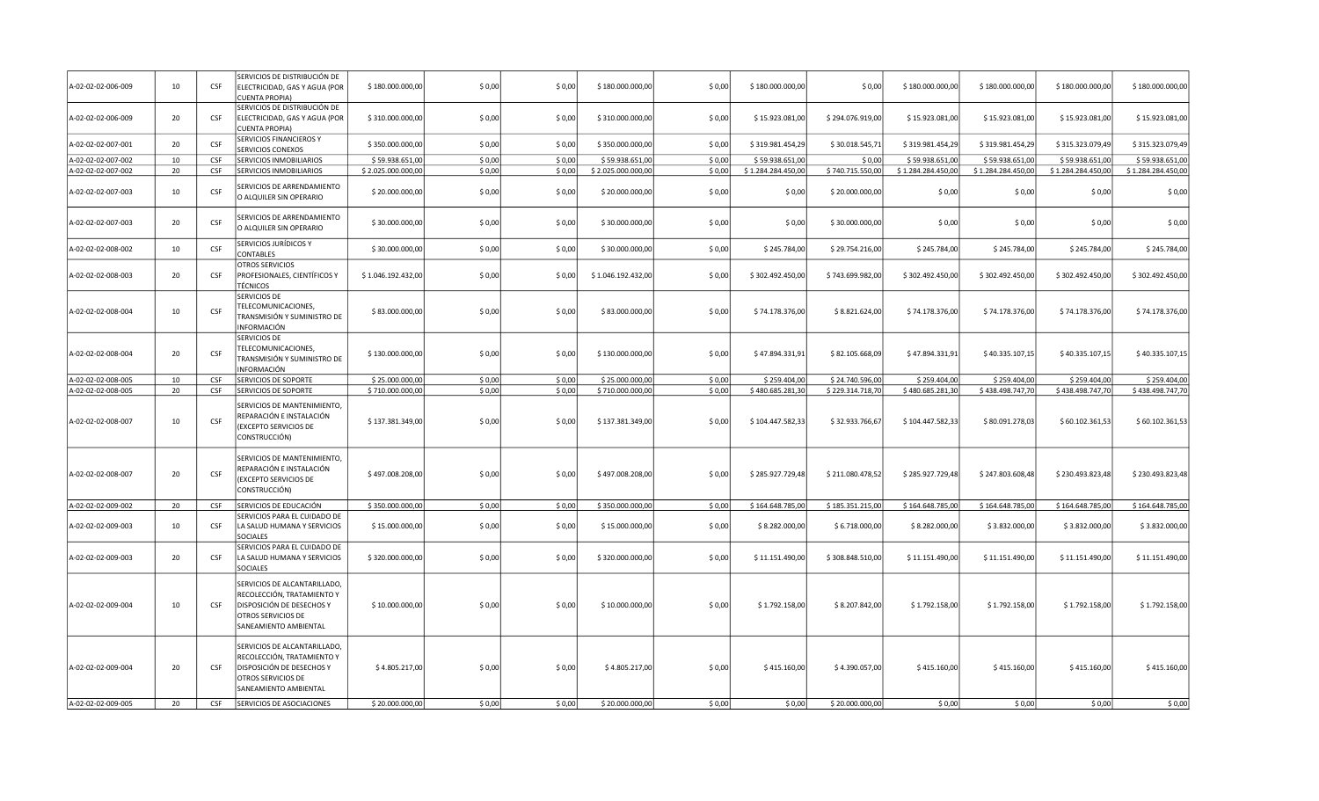| A-02-02-02-006-009 | 10 | CSF        | SERVICIOS DE DISTRIBUCIÓN DE<br>ELECTRICIDAD, GAS Y AGUA (POR<br><b>CUENTA PROPIA)</b>                                                 | \$180.000.000,00   | \$0,00 | \$0,00 | \$180.000.000,00   | \$0,00 | \$180.000.000,00   | \$0,00           | \$180.000.000,00   | \$180.000.000,00   | \$180.000.000,00   | \$180.000.000,00   |
|--------------------|----|------------|----------------------------------------------------------------------------------------------------------------------------------------|--------------------|--------|--------|--------------------|--------|--------------------|------------------|--------------------|--------------------|--------------------|--------------------|
| A-02-02-02-006-009 | 20 | <b>CSF</b> | SERVICIOS DE DISTRIBUCIÓN DE<br>ELECTRICIDAD, GAS Y AGUA (POR<br><b>CUENTA PROPIA)</b>                                                 | \$310.000.000,00   | \$0,00 | \$0,00 | \$310.000.000,00   | \$0,00 | \$15.923.081,00    | \$294.076.919,00 | \$15.923.081,00    | \$15.923.081,00    | \$15.923.081,00    | \$15.923.081,00    |
| A-02-02-02-007-001 | 20 | <b>CSF</b> | SERVICIOS FINANCIEROS Y<br>SERVICIOS CONEXOS                                                                                           | \$350.000.000,00   | \$0,00 | \$0,00 | \$350.000.000,00   | \$0,00 | \$319.981.454,29   | \$30.018.545,71  | \$319.981.454,29   | \$319.981.454,29   | \$315.323.079,49   | \$315.323.079,49   |
| A-02-02-02-007-002 | 10 | <b>CSF</b> | SERVICIOS INMOBILIARIOS                                                                                                                | \$59.938.651,00    | \$0,00 | \$0,00 | \$59.938.651,00    | \$0,00 | \$59.938.651,00    | \$0,00           | \$59.938.651,00    | \$59.938.651,00    | \$59.938.651,00    | \$59.938.651,00    |
| A-02-02-02-007-002 | 20 | CSF        | SERVICIOS INMOBILIARIOS                                                                                                                | \$2.025.000.000,00 | \$0,00 | \$0,00 | \$2.025.000.000,00 | \$0,00 | \$1.284.284.450,00 | \$740.715.550,00 | \$1.284.284.450,00 | \$1.284.284.450,00 | \$1.284.284.450,00 | \$1.284.284.450,00 |
| A-02-02-02-007-003 | 10 | CSF        | SERVICIOS DE ARRENDAMIENTO<br>O ALQUILER SIN OPERARIO                                                                                  | \$20.000.000,00    | \$0,00 | \$0,00 | \$20.000.000,00    | \$0,00 | \$0,00             | \$20.000.000,00  | \$0,00             | \$0,00             | \$0,00             | \$0,00             |
| A-02-02-02-007-003 | 20 | <b>CSF</b> | SERVICIOS DE ARRENDAMIENTO<br>O ALQUILER SIN OPERARIO                                                                                  | \$30.000.000,00    | \$0,00 | \$0,00 | \$30.000.000,00    | \$0,00 | \$0,00             | \$30.000.000,00  | \$0,00             | \$0,00             | \$0,00             | \$0,00             |
| A-02-02-02-008-002 | 10 | <b>CSF</b> | SERVICIOS JURÍDICOS Y<br>CONTABLES                                                                                                     | \$30.000.000,00    | \$0,00 | \$0,00 | \$30.000.000,00    | \$0,00 | \$245.784,00       | \$29.754.216,00  | \$245.784,00       | \$245.784,00       | \$245.784,00       | \$245.784,00       |
| A-02-02-02-008-003 | 20 | CSF        | OTROS SERVICIOS<br>PROFESIONALES, CIENTÍFICOS Y<br><b>TÉCNICOS</b>                                                                     | \$1.046.192.432,00 | \$0,00 | \$0,00 | \$1.046.192.432,00 | \$0,00 | \$302.492.450,00   | \$743.699.982,00 | \$302.492.450,00   | \$302.492.450,00   | \$302.492.450,00   | \$302.492.450,00   |
| A-02-02-02-008-004 | 10 | CSF        | SERVICIOS DE<br>TELECOMUNICACIONES,<br>TRANSMISIÓN Y SUMINISTRO DE<br>INFORMACIÓN                                                      | \$83.000.000,00    | \$0,00 | \$0,00 | \$83.000.000,00    | \$0,00 | \$74.178.376,00    | \$8.821.624,00   | \$74.178.376,00    | \$74.178.376,00    | \$74.178.376,00    | \$74.178.376,00    |
| A-02-02-02-008-004 | 20 | CSF        | SERVICIOS DE<br>TELECOMUNICACIONES,<br>TRANSMISIÓN Y SUMINISTRO DE<br>INFORMACIÓN                                                      | \$130.000.000,00   | \$0,00 | \$0,00 | \$130.000.000,00   | \$0,00 | \$47.894.331,91    | \$82.105.668,09  | \$47.894.331,91    | \$40.335.107,15    | \$40.335.107,15    | \$40.335.107,15    |
| A-02-02-02-008-005 | 10 | CSF        | SERVICIOS DE SOPORTE                                                                                                                   | \$25.000.000,00    | \$0,00 | \$0,00 | \$25.000.000,00    | \$0,00 | \$259.404,00       | \$24.740.596,00  | \$259.404,00       | \$259.404,00       | \$259.404,00       | \$259.404,00       |
| A-02-02-02-008-005 | 20 | CSF        | <b>SERVICIOS DE SOPORTE</b>                                                                                                            | \$710.000.000,00   | \$0,00 | \$0,00 | \$710.000.000,00   | \$0,00 | \$480.685.281,30   | \$229.314.718,70 | \$480.685.281,30   | \$438.498.747,70   | \$438.498.747,70   | \$438.498.747,70   |
| A-02-02-02-008-007 | 10 | CSF        | SERVICIOS DE MANTENIMIENTO,<br>REPARACIÓN E INSTALACIÓN<br>(EXCEPTO SERVICIOS DE<br>CONSTRUCCIÓN)                                      | \$137.381.349,00   | \$0,00 | \$0,00 | \$137.381.349,00   | \$0,00 | \$104.447.582,33   | \$32.933.766,67  | \$104.447.582,33   | \$80.091.278,03    | \$60.102.361,53    | \$60.102.361,53    |
| A-02-02-02-008-007 | 20 | CSF        | SERVICIOS DE MANTENIMIENTO,<br>REPARACIÓN E INSTALACIÓN<br>(EXCEPTO SERVICIOS DE<br>CONSTRUCCIÓN)                                      | \$497.008.208,00   | \$0,00 | \$0,00 | \$497.008.208,00   | \$0,00 | \$285.927.729,48   | \$211.080.478,52 | \$285.927.729,48   | \$247.803.608,48   | \$230.493.823,48   | \$230.493.823,48   |
| A-02-02-02-009-002 | 20 | CSF        | SERVICIOS DE EDUCACIÓN                                                                                                                 | \$350.000.000,00   | \$0,00 | \$0,00 | \$350.000.000,00   | \$0,00 | \$164.648.785,00   | \$185.351.215,00 | \$164.648.785,00   | \$164.648.785,00   | \$164.648.785,00   | \$164.648.785,00   |
| A-02-02-02-009-003 | 10 | <b>CSF</b> | SERVICIOS PARA EL CUIDADO DE<br>LA SALUD HUMANA Y SERVICIOS<br><b>SOCIALES</b>                                                         | \$15.000.000,00    | \$0,00 | \$0,00 | \$15.000.000,00    | \$0,00 | \$8.282.000,00     | \$6.718.000,00   | \$8.282.000,00     | \$3.832.000,00     | \$3.832.000,00     | \$3.832.000,00     |
| A-02-02-02-009-003 | 20 | <b>CSF</b> | SERVICIOS PARA EL CUIDADO DE<br>LA SALUD HUMANA Y SERVICIOS<br>SOCIALES                                                                | \$320.000.000,00   | \$0,00 | \$0,00 | \$320.000.000,00   | \$0,00 | \$11.151.490,00    | \$308.848.510,00 | \$11.151.490,00    | \$11.151.490,00    | \$11.151.490,00    | \$11.151.490,00    |
| A-02-02-02-009-004 | 10 | CSF        | SERVICIOS DE ALCANTARILLADO,<br>RECOLECCIÓN, TRATAMIENTO Y<br>DISPOSICIÓN DE DESECHOS Y<br>OTROS SERVICIOS DE<br>SANEAMIENTO AMBIENTAL | \$10.000.000,00    | \$0,00 | \$0,00 | \$10.000.000,00    | \$0,00 | \$1.792.158,00     | \$8.207.842,00   | \$1.792.158,00     | \$1.792.158,00     | \$1.792.158,00     | \$1.792.158,00     |
| A-02-02-02-009-004 | 20 | CSF        | SERVICIOS DE ALCANTARILLADO,<br>RECOLECCIÓN, TRATAMIENTO Y<br>DISPOSICIÓN DE DESECHOS Y<br>OTROS SERVICIOS DE<br>SANEAMIENTO AMBIENTAL | \$4.805.217,00     | \$0,00 | \$0,00 | \$4.805.217,00     | \$0,00 | \$415.160,00       | \$4.390.057,00   | \$415.160,00       | \$415.160,00       | \$415.160,00       | \$415.160,00       |
| A-02-02-02-009-005 | 20 | <b>CSF</b> | SERVICIOS DE ASOCIACIONES                                                                                                              | \$20.000.000,00    | \$0,00 | \$0,00 | \$20.000.000,00    | \$0,00 | \$0,00             | \$20.000.000,00  | \$0,00             | \$0,00             | \$0,00             | \$0,00             |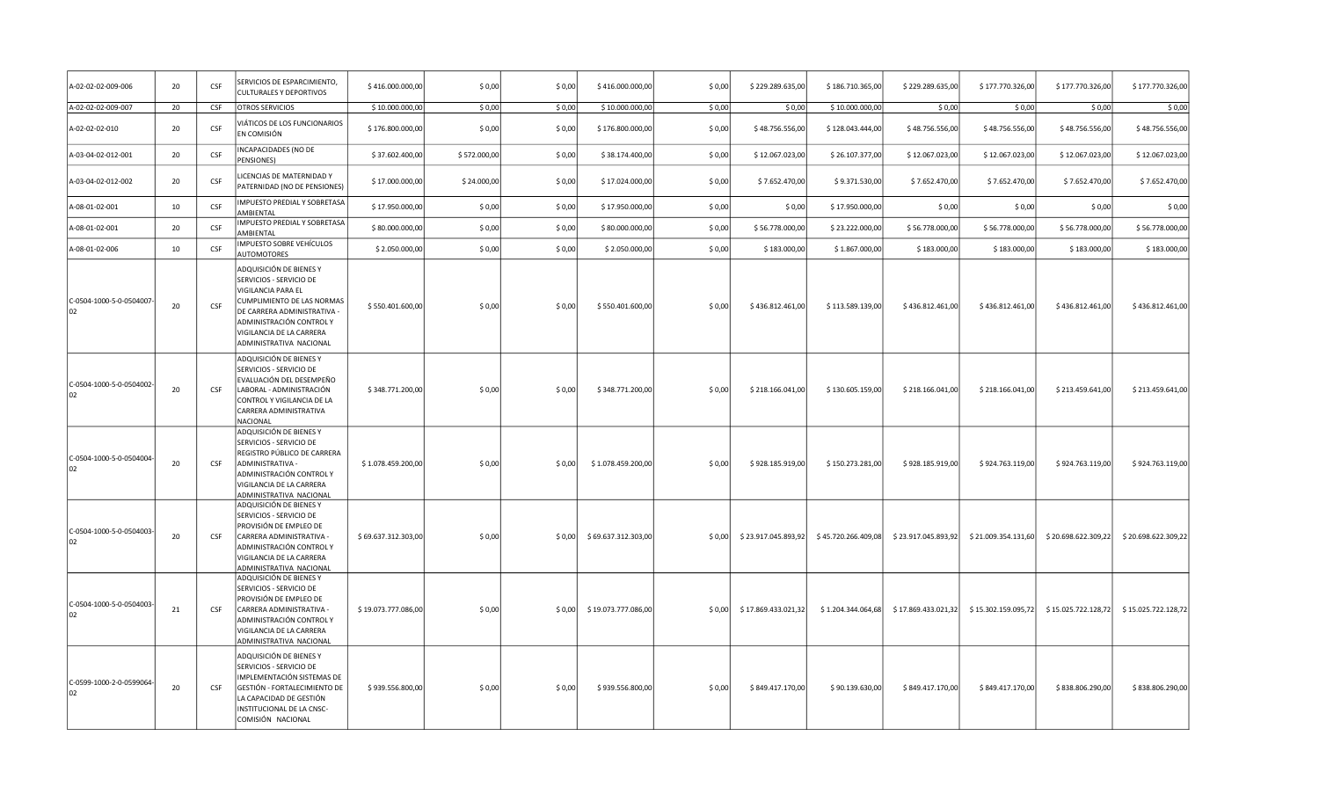| A-02-02-02-009-006             | 20 | <b>CSF</b> | SERVICIOS DE ESPARCIMIENTO,<br><b>CULTURALES Y DEPORTIVOS</b>                                                                                                                                                                   | \$416.000.000,00    | \$0,00       | \$0,00 | \$416.000.000,00    | \$0,00 | \$229.289.635,00    | \$186.710.365,00    | \$229.289.635,00    | \$177.770.326,00    | \$177.770.326,00    | \$177.770.326,00    |
|--------------------------------|----|------------|---------------------------------------------------------------------------------------------------------------------------------------------------------------------------------------------------------------------------------|---------------------|--------------|--------|---------------------|--------|---------------------|---------------------|---------------------|---------------------|---------------------|---------------------|
| A-02-02-02-009-007             | 20 | CSF        | OTROS SERVICIOS                                                                                                                                                                                                                 | \$10.000.000,00     | \$0,00       | \$0,00 | \$10.000.000,00     | \$0,00 | \$0,00              | \$10.000.000,00     | \$0,00              | \$0,00              | \$0,00              | \$0,00              |
| A-02-02-02-010                 | 20 | CSF        | VIÁTICOS DE LOS FUNCIONARIOS<br>EN COMISIÓN                                                                                                                                                                                     | \$176.800.000,00    | \$0,00       | \$0,00 | \$176.800.000,00    | \$0,00 | \$48.756.556,00     | \$128.043.444,00    | \$48.756.556,00     | \$48.756.556,00     | \$48.756.556,00     | \$48.756.556,00     |
| A-03-04-02-012-001             | 20 | CSF        | INCAPACIDADES (NO DE<br>PENSIONES)                                                                                                                                                                                              | \$37.602.400,00     | \$572.000,00 | \$0,00 | \$38.174.400,00     | \$0,00 | \$12.067.023,00     | \$26.107.377,00     | \$12.067.023,00     | \$12.067.023,00     | \$12.067.023,00     | \$12.067.023,00     |
| A-03-04-02-012-002             | 20 | CSF        | LICENCIAS DE MATERNIDAD Y<br>PATERNIDAD (NO DE PENSIONES)                                                                                                                                                                       | \$17.000.000,00     | \$24.000,00  | \$0,00 | \$17.024.000,00     | \$0,00 | \$7.652.470,00      | \$9.371.530,00      | \$7.652.470,00      | \$7.652.470,00      | \$7.652.470,00      | \$7.652.470,00      |
| A-08-01-02-001                 | 10 | CSF        | IMPUESTO PREDIAL Y SOBRETASA<br>AMBIENTAL                                                                                                                                                                                       | \$17.950.000,00     | \$0,00       | \$0,00 | \$17.950.000,00     | \$0,00 | \$0,00              | \$17.950.000,00     | \$0,00              | \$0,00              | \$0,00              | \$0,00              |
| A-08-01-02-001                 | 20 | CSF        | IMPUESTO PREDIAL Y SOBRETASA<br>AMBIENTAL                                                                                                                                                                                       | \$80.000.000,00     | \$0,00       | \$0,00 | \$80.000.000,00     | \$0,00 | \$56.778.000,00     | \$23.222.000,00     | \$56.778.000,00     | \$56.778.000,00     | \$56.778.000,00     | \$56.778.000,00     |
| A-08-01-02-006                 | 10 | CSF        | IMPUESTO SOBRE VEHÍCULOS<br>AUTOMOTORES                                                                                                                                                                                         | \$2.050.000,00      | \$0,00       | \$0,00 | \$2.050.000,00      | \$0,00 | \$183.000,00        | \$1.867.000,00      | \$183.000,00        | \$183.000,00        | \$183.000,00        | \$183.000,00        |
| C-0504-1000-5-0-0504007<br>102 | 20 | CSF        | ADQUISICIÓN DE BIENES Y<br>SERVICIOS - SERVICIO DE<br>VIGILANCIA PARA EL<br><b>CUMPLIMIENTO DE LAS NORMAS</b><br>DE CARRERA ADMINISTRATIVA -<br>ADMINISTRACIÓN CONTROL Y<br>VIGILANCIA DE LA CARRERA<br>ADMINISTRATIVA NACIONAL | \$550.401.600,00    | \$0,00       | \$0,00 | \$550.401.600,00    | \$0,00 | \$436.812.461,00    | \$113.589.139,00    | \$436.812.461,00    | \$436.812.461,00    | \$436.812.461,00    | \$436.812.461,00    |
| C-0504-1000-5-0-0504002-<br>02 | 20 | CSF        | ADQUISICIÓN DE BIENES Y<br>SERVICIOS - SERVICIO DE<br>EVALUACIÓN DEL DESEMPEÑO<br>LABORAL - ADMINISTRACIÓN<br>CONTROL Y VIGILANCIA DE LA<br>CARRERA ADMINISTRATIVA<br><b>NACIONAL</b>                                           | \$348.771.200,00    | \$0,00       | \$0,00 | \$348.771.200,00    | \$0,00 | \$218.166.041,00    | \$130.605.159,00    | \$218.166.041,00    | \$218.166.041,00    | \$213.459.641,00    | \$213.459.641,00    |
| C-0504-1000-5-0-0504004<br>loz | 20 | CSF        | ADQUISICIÓN DE BIENES Y<br>SERVICIOS - SERVICIO DE<br>REGISTRO PÚBLICO DE CARRERA<br>ADMINISTRATIVA -<br>ADMINISTRACIÓN CONTROL Y<br>VIGILANCIA DE LA CARRERA<br>ADMINISTRATIVA NACIONAL                                        | \$1.078.459.200,00  | \$0,00       | \$0,00 | \$1.078.459.200,00  | \$0,00 | \$928.185.919,00    | \$150.273.281,00    | \$928.185.919,00    | \$924.763.119,00    | \$924.763.119,00    | \$924.763.119,00    |
| C-0504-1000-5-0-0504003-<br>02 | 20 | CSF        | ADQUISICIÓN DE BIENES Y<br>SERVICIOS - SERVICIO DE<br>PROVISIÓN DE EMPLEO DE<br>CARRERA ADMINISTRATIVA -<br>ADMINISTRACIÓN CONTROL Y<br>VIGILANCIA DE LA CARRERA<br>ADMINISTRATIVA NACIONAL                                     | \$69.637.312.303,00 | \$0,00       | \$0,00 | \$69.637.312.303,00 | \$0,00 | \$23.917.045.893,92 | \$45.720.266.409,08 | \$23.917.045.893,92 | \$21.009.354.131,60 | \$20.698.622.309,22 | \$20.698.622.309,22 |
| C-0504-1000-5-0-0504003-<br>02 | 21 | CSF        | ADQUISICIÓN DE BIENES Y<br>SERVICIOS - SERVICIO DE<br>PROVISIÓN DE EMPLEO DE<br>CARRERA ADMINISTRATIVA -<br>ADMINISTRACIÓN CONTROL Y<br>VIGILANCIA DE LA CARRERA<br>ADMINISTRATIVA NACIONAL                                     | \$19.073.777.086,00 | \$0,00       | \$0,00 | \$19.073.777.086,00 | \$0,00 | \$17.869.433.021,32 | \$1.204.344.064,68  | \$17.869.433.021,32 | \$15.302.159.095,72 | \$15.025.722.128,72 | \$15.025.722.128,72 |
| C-0599-1000-2-0-0599064<br>lnə | 20 | <b>CSF</b> | ADQUISICIÓN DE BIENES Y<br>SERVICIOS - SERVICIO DE<br>IMPLEMENTACIÓN SISTEMAS DE<br>GESTIÓN - FORTALECIMIENTO DE<br>LA CAPACIDAD DE GESTIÓN<br>INSTITUCIONAL DE LA CNSC-<br>COMISIÓN NACIONAL                                   | \$939.556.800,00    | \$0,00       | \$0,00 | \$939.556.800,00    | \$0,00 | \$849.417.170,00    | \$90.139.630,00     | \$849.417.170,00    | \$849.417.170,00    | \$838.806.290,00    | \$838.806.290,00    |